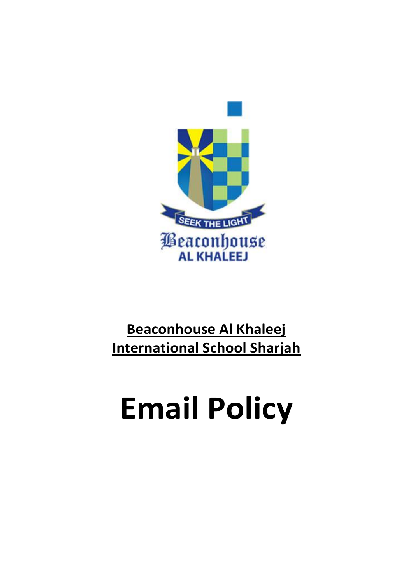

# **Beaconhouse Al Khaleej International School Sharjah**

# **Email Policy**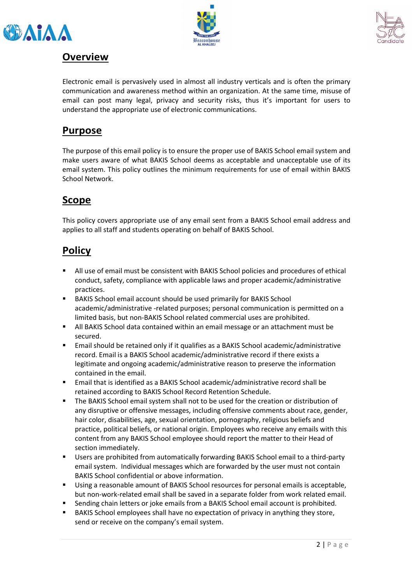





#### **Overview**

Electronic email is pervasively used in almost all industry verticals and is often the primary communication and awareness method within an organization. At the same time, misuse of email can post many legal, privacy and security risks, thus it's important for users to understand the appropriate use of electronic communications.

#### **Purpose**

The purpose of this email policy is to ensure the proper use of BAKIS School email system and make users aware of what BAKIS School deems as acceptable and unacceptable use of its email system. This policy outlines the minimum requirements for use of email within BAKIS School Network.

#### **Scope**

This policy covers appropriate use of any email sent from a BAKIS School email address and applies to all staff and students operating on behalf of BAKIS School.

# **Policy**

- All use of email must be consistent with BAKIS School policies and procedures of ethical conduct, safety, compliance with applicable laws and proper academic/administrative practices.
- BAKIS School email account should be used primarily for BAKIS School academic/administrative -related purposes; personal communication is permitted on a limited basis, but non-BAKIS School related commercial uses are prohibited.
- **E** All BAKIS School data contained within an email message or an attachment must be secured.
- Email should be retained only if it qualifies as a BAKIS School academic/administrative record. Email is a BAKIS School academic/administrative record if there exists a legitimate and ongoing academic/administrative reason to preserve the information contained in the email.
- Email that is identified as a BAKIS School academic/administrative record shall be retained according to BAKIS School Record Retention Schedule.
- The BAKIS School email system shall not to be used for the creation or distribution of any disruptive or offensive messages, including offensive comments about race, gender, hair color, disabilities, age, sexual orientation, pornography, religious beliefs and practice, political beliefs, or national origin. Employees who receive any emails with this content from any BAKIS School employee should report the matter to their Head of section immediately.
- Users are prohibited from automatically forwarding BAKIS School email to a third-party email system. Individual messages which are forwarded by the user must not contain BAKIS School confidential or above information.
- Using a reasonable amount of BAKIS School resources for personal emails is acceptable, but non-work-related email shall be saved in a separate folder from work related email.
- Sending chain letters or joke emails from a BAKIS School email account is prohibited.
- BAKIS School employees shall have no expectation of privacy in anything they store, send or receive on the company's email system.